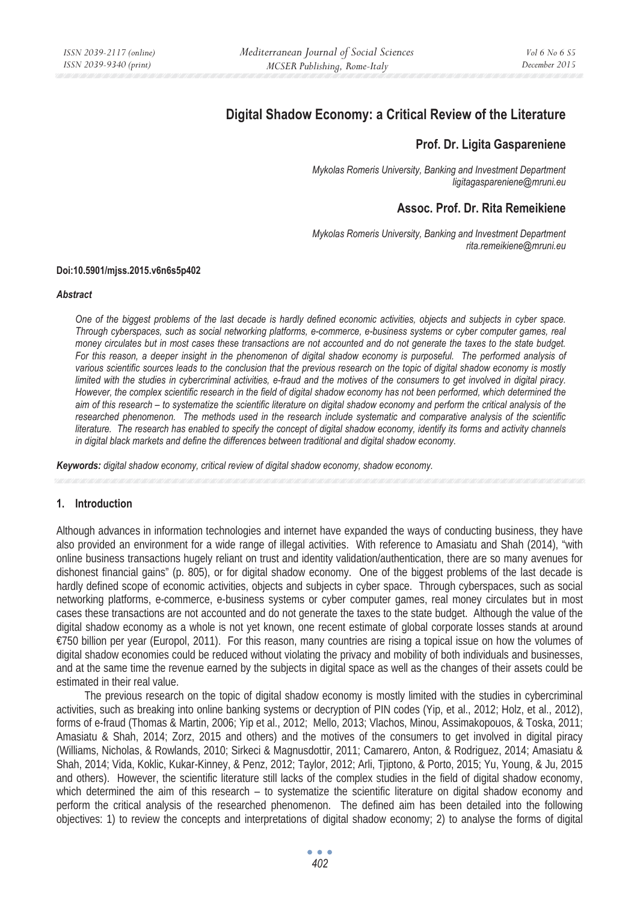# **Digital Shadow Economy: a Critical Review of the Literature**

## **Prof. Dr. Ligita Gaspareniene**

*Mykolas Romeris University, Banking and Investment Department ligitagaspareniene@mruni.eu* 

## **Assoc. Prof. Dr. Rita Remeikiene**

*Mykolas Romeris University, Banking and Investment Department rita.remeikiene@mruni.eu* 

#### **Doi:10.5901/mjss.2015.v6n6s5p402**

#### *Abstract*

*One of the biggest problems of the last decade is hardly defined economic activities, objects and subjects in cyber space. Through cyberspaces, such as social networking platforms, e-commerce, e-business systems or cyber computer games, real money circulates but in most cases these transactions are not accounted and do not generate the taxes to the state budget.*  For this reason, a deeper insight in the phenomenon of digital shadow economy is purposeful. The performed analysis of *various scientific sources leads to the conclusion that the previous research on the topic of digital shadow economy is mostly limited with the studies in cybercriminal activities, e-fraud and the motives of the consumers to get involved in digital piracy. However, the complex scientific research in the field of digital shadow economy has not been performed, which determined the aim of this research – to systematize the scientific literature on digital shadow economy and perform the critical analysis of the researched phenomenon. The methods used in the research include systematic and comparative analysis of the scientific literature. The research has enabled to specify the concept of digital shadow economy, identify its forms and activity channels in digital black markets and define the differences between traditional and digital shadow economy.* 

*Keywords: digital shadow economy, critical review of digital shadow economy, shadow economy.* 

#### **1. Introduction**

Although advances in information technologies and internet have expanded the ways of conducting business, they have also provided an environment for a wide range of illegal activities. With reference to Amasiatu and Shah (2014), "with online business transactions hugely reliant on trust and identity validation/authentication, there are so many avenues for dishonest financial gains" (p. 805), or for digital shadow economy. One of the biggest problems of the last decade is hardly defined scope of economic activities, objects and subjects in cyber space. Through cyberspaces, such as social networking platforms, e-commerce, e-business systems or cyber computer games, real money circulates but in most cases these transactions are not accounted and do not generate the taxes to the state budget. Although the value of the digital shadow economy as a whole is not yet known, one recent estimate of global corporate losses stands at around €750 billion per year (Europol, 2011). For this reason, many countries are rising a topical issue on how the volumes of digital shadow economies could be reduced without violating the privacy and mobility of both individuals and businesses, and at the same time the revenue earned by the subjects in digital space as well as the changes of their assets could be estimated in their real value.

The previous research on the topic of digital shadow economy is mostly limited with the studies in cybercriminal activities, such as breaking into online banking systems or decryption of PIN codes (Yip, et al., 2012; Holz, et al., 2012), forms of e-fraud (Thomas & Martin, 2006; Yip et al., 2012; Mello, 2013; Vlachos, Minou, Assimakopouos, & Toska, 2011; Amasiatu & Shah, 2014; Zorz, 2015 and others) and the motives of the consumers to get involved in digital piracy (Williams, Nicholas, & Rowlands, 2010; Sirkeci & Magnusdottir, 2011; Camarero, Anton, & Rodriguez, 2014; Amasiatu & Shah, 2014; Vida, Koklic, Kukar-Kinney, & Penz, 2012; Taylor, 2012; Arli, Tjiptono, & Porto, 2015; Yu, Young, & Ju, 2015 and others). However, the scientific literature still lacks of the complex studies in the field of digital shadow economy, which determined the aim of this research – to systematize the scientific literature on digital shadow economy and perform the critical analysis of the researched phenomenon. The defined aim has been detailed into the following objectives: 1) to review the concepts and interpretations of digital shadow economy; 2) to analyse the forms of digital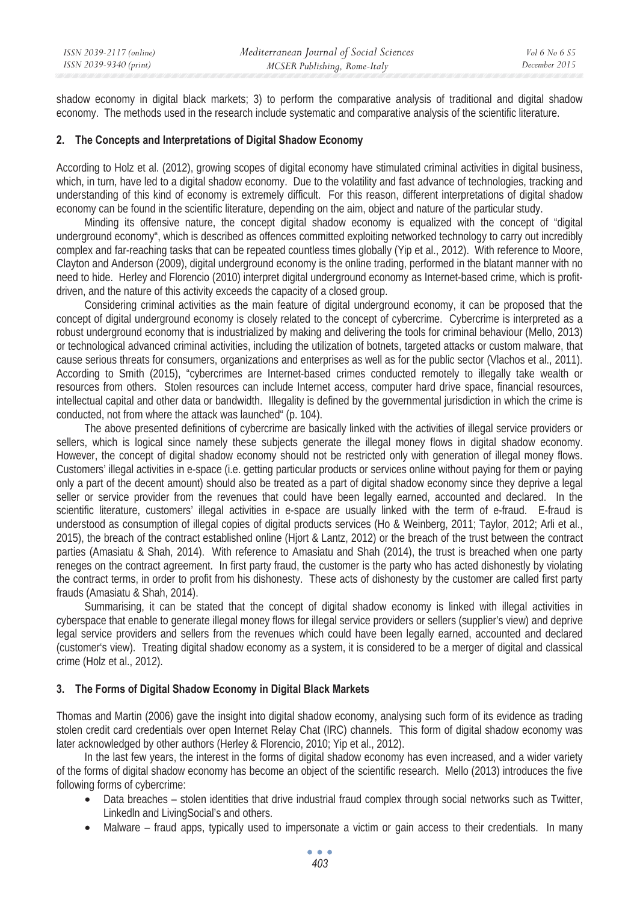shadow economy in digital black markets; 3) to perform the comparative analysis of traditional and digital shadow economy. The methods used in the research include systematic and comparative analysis of the scientific literature.

### **2. The Concepts and Interpretations of Digital Shadow Economy**

According to Holz et al. (2012), growing scopes of digital economy have stimulated criminal activities in digital business, which, in turn, have led to a digital shadow economy. Due to the volatility and fast advance of technologies, tracking and understanding of this kind of economy is extremely difficult. For this reason, different interpretations of digital shadow economy can be found in the scientific literature, depending on the aim, object and nature of the particular study.

Minding its offensive nature, the concept digital shadow economy is equalized with the concept of "digital underground economy", which is described as offences committed exploiting networked technology to carry out incredibly complex and far-reaching tasks that can be repeated countless times globally (Yip et al., 2012). With reference to Moore, Clayton and Anderson (2009), digital underground economy is the online trading, performed in the blatant manner with no need to hide. Herley and Florencio (2010) interpret digital underground economy as Internet-based crime, which is profitdriven, and the nature of this activity exceeds the capacity of a closed group.

Considering criminal activities as the main feature of digital underground economy, it can be proposed that the concept of digital underground economy is closely related to the concept of cybercrime. Cybercrime is interpreted as a robust underground economy that is industrialized by making and delivering the tools for criminal behaviour (Mello, 2013) or technological advanced criminal activities, including the utilization of botnets, targeted attacks or custom malware, that cause serious threats for consumers, organizations and enterprises as well as for the public sector (Vlachos et al., 2011). According to Smith (2015), "cybercrimes are Internet-based crimes conducted remotely to illegally take wealth or resources from others. Stolen resources can include Internet access, computer hard drive space, financial resources, intellectual capital and other data or bandwidth. Illegality is defined by the governmental jurisdiction in which the crime is conducted, not from where the attack was launched" (p. 104).

The above presented definitions of cybercrime are basically linked with the activities of illegal service providers or sellers, which is logical since namely these subjects generate the illegal money flows in digital shadow economy. However, the concept of digital shadow economy should not be restricted only with generation of illegal money flows. Customers' illegal activities in e-space (i.e. getting particular products or services online without paying for them or paying only a part of the decent amount) should also be treated as a part of digital shadow economy since they deprive a legal seller or service provider from the revenues that could have been legally earned, accounted and declared. In the scientific literature, customers' illegal activities in e-space are usually linked with the term of e-fraud. E-fraud is understood as consumption of illegal copies of digital products services (Ho & Weinberg, 2011; Taylor, 2012; Arli et al., 2015), the breach of the contract established online (Hjort & Lantz, 2012) or the breach of the trust between the contract parties (Amasiatu & Shah, 2014). With reference to Amasiatu and Shah (2014), the trust is breached when one party reneges on the contract agreement. In first party fraud, the customer is the party who has acted dishonestly by violating the contract terms, in order to profit from his dishonesty. These acts of dishonesty by the customer are called first party frauds (Amasiatu & Shah, 2014).

Summarising, it can be stated that the concept of digital shadow economy is linked with illegal activities in cyberspace that enable to generate illegal money flows for illegal service providers or sellers (supplier's view) and deprive legal service providers and sellers from the revenues which could have been legally earned, accounted and declared (customer's view). Treating digital shadow economy as a system, it is considered to be a merger of digital and classical crime (Holz et al., 2012).

## **3. The Forms of Digital Shadow Economy in Digital Black Markets**

Thomas and Martin (2006) gave the insight into digital shadow economy, analysing such form of its evidence as trading stolen credit card credentials over open Internet Relay Chat (IRC) channels. This form of digital shadow economy was later acknowledged by other authors (Herley & Florencio, 2010; Yip et al., 2012).

In the last few years, the interest in the forms of digital shadow economy has even increased, and a wider variety of the forms of digital shadow economy has become an object of the scientific research. Mello (2013) introduces the five following forms of cybercrime:

- Data breaches stolen identities that drive industrial fraud complex through social networks such as Twitter, Linkedln and LivingSocial's and others.
- Malware fraud apps, typically used to impersonate a victim or gain access to their credentials. In many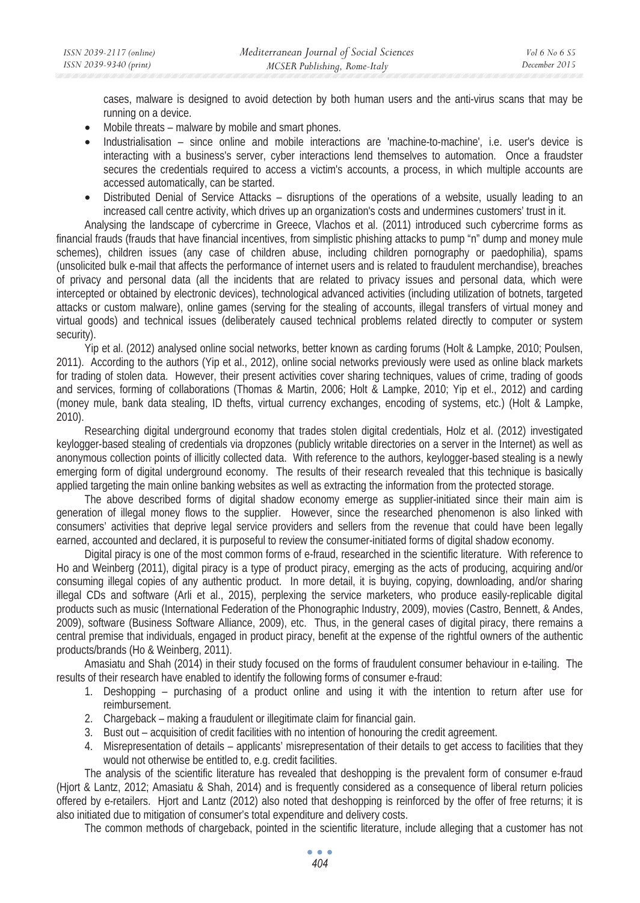cases, malware is designed to avoid detection by both human users and the anti-virus scans that may be running on a device.

- Mobile threats malware by mobile and smart phones.
- Industrialisation since online and mobile interactions are 'machine-to-machine', i.e. user's device is interacting with a business's server, cyber interactions lend themselves to automation. Once a fraudster secures the credentials required to access a victim's accounts, a process, in which multiple accounts are accessed automatically, can be started.
- Distributed Denial of Service Attacks disruptions of the operations of a website, usually leading to an increased call centre activity, which drives up an organization's costs and undermines customers' trust in it.

Analysing the landscape of cybercrime in Greece, Vlachos et al. (2011) introduced such cybercrime forms as financial frauds (frauds that have financial incentives, from simplistic phishing attacks to pump "n" dump and money mule schemes), children issues (any case of children abuse, including children pornography or paedophilia), spams (unsolicited bulk e-mail that affects the performance of internet users and is related to fraudulent merchandise), breaches of privacy and personal data (all the incidents that are related to privacy issues and personal data, which were intercepted or obtained by electronic devices), technological advanced activities (including utilization of botnets, targeted attacks or custom malware), online games (serving for the stealing of accounts, illegal transfers of virtual money and virtual goods) and technical issues (deliberately caused technical problems related directly to computer or system security).

Yip et al. (2012) analysed online social networks, better known as carding forums (Holt & Lampke, 2010; Poulsen, 2011). According to the authors (Yip et al., 2012), online social networks previously were used as online black markets for trading of stolen data. However, their present activities cover sharing techniques, values of crime, trading of goods and services, forming of collaborations (Thomas & Martin, 2006; Holt & Lampke, 2010; Yip et el., 2012) and carding (money mule, bank data stealing, ID thefts, virtual currency exchanges, encoding of systems, etc.) (Holt & Lampke, 2010).

Researching digital underground economy that trades stolen digital credentials, Holz et al. (2012) investigated keylogger-based stealing of credentials via dropzones (publicly writable directories on a server in the Internet) as well as anonymous collection points of illicitly collected data. With reference to the authors, keylogger-based stealing is a newly emerging form of digital underground economy. The results of their research revealed that this technique is basically applied targeting the main online banking websites as well as extracting the information from the protected storage.

The above described forms of digital shadow economy emerge as supplier-initiated since their main aim is generation of illegal money flows to the supplier. However, since the researched phenomenon is also linked with consumers' activities that deprive legal service providers and sellers from the revenue that could have been legally earned, accounted and declared, it is purposeful to review the consumer-initiated forms of digital shadow economy.

Digital piracy is one of the most common forms of e-fraud, researched in the scientific literature. With reference to Ho and Weinberg (2011), digital piracy is a type of product piracy, emerging as the acts of producing, acquiring and/or consuming illegal copies of any authentic product. In more detail, it is buying, copying, downloading, and/or sharing illegal CDs and software (Arli et al., 2015), perplexing the service marketers, who produce easily-replicable digital products such as music (International Federation of the Phonographic Industry, 2009), movies (Castro, Bennett, & Andes, 2009), software (Business Software Alliance, 2009), etc. Thus, in the general cases of digital piracy, there remains a central premise that individuals, engaged in product piracy, benefit at the expense of the rightful owners of the authentic products/brands (Ho & Weinberg, 2011).

Amasiatu and Shah (2014) in their study focused on the forms of fraudulent consumer behaviour in e-tailing. The results of their research have enabled to identify the following forms of consumer e-fraud:

- 1. Deshopping purchasing of a product online and using it with the intention to return after use for reimbursement.
- 2. Chargeback making a fraudulent or illegitimate claim for financial gain.
- 3. Bust out acquisition of credit facilities with no intention of honouring the credit agreement.
- 4. Misrepresentation of details applicants' misrepresentation of their details to get access to facilities that they would not otherwise be entitled to, e.g. credit facilities.

The analysis of the scientific literature has revealed that deshopping is the prevalent form of consumer e-fraud (Hjort & Lantz, 2012; Amasiatu & Shah, 2014) and is frequently considered as a consequence of liberal return policies offered by e-retailers. Hjort and Lantz (2012) also noted that deshopping is reinforced by the offer of free returns; it is also initiated due to mitigation of consumer's total expenditure and delivery costs.

The common methods of chargeback, pointed in the scientific literature, include alleging that a customer has not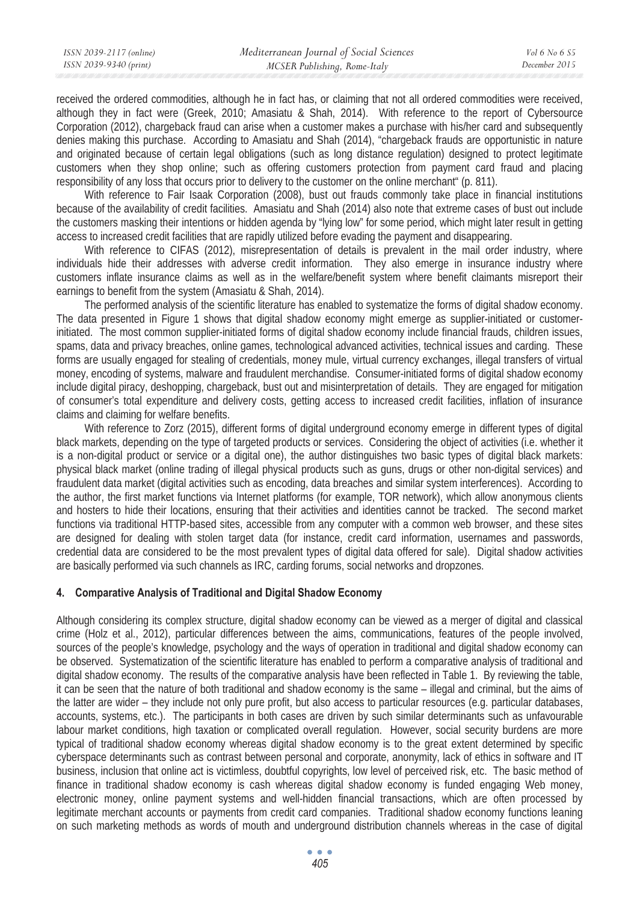received the ordered commodities, although he in fact has, or claiming that not all ordered commodities were received, although they in fact were (Greek, 2010; Amasiatu & Shah, 2014). With reference to the report of Cybersource Corporation (2012), chargeback fraud can arise when a customer makes a purchase with his/her card and subsequently denies making this purchase. According to Amasiatu and Shah (2014), "chargeback frauds are opportunistic in nature and originated because of certain legal obligations (such as long distance regulation) designed to protect legitimate customers when they shop online; such as offering customers protection from payment card fraud and placing responsibility of any loss that occurs prior to delivery to the customer on the online merchant" (p. 811).

With reference to Fair Isaak Corporation (2008), bust out frauds commonly take place in financial institutions because of the availability of credit facilities. Amasiatu and Shah (2014) also note that extreme cases of bust out include the customers masking their intentions or hidden agenda by "lying low" for some period, which might later result in getting access to increased credit facilities that are rapidly utilized before evading the payment and disappearing.

With reference to CIFAS (2012), misrepresentation of details is prevalent in the mail order industry, where individuals hide their addresses with adverse credit information. They also emerge in insurance industry where customers inflate insurance claims as well as in the welfare/benefit system where benefit claimants misreport their earnings to benefit from the system (Amasiatu & Shah, 2014).

The performed analysis of the scientific literature has enabled to systematize the forms of digital shadow economy. The data presented in Figure 1 shows that digital shadow economy might emerge as supplier-initiated or customerinitiated. The most common supplier-initiated forms of digital shadow economy include financial frauds, children issues, spams, data and privacy breaches, online games, technological advanced activities, technical issues and carding. These forms are usually engaged for stealing of credentials, money mule, virtual currency exchanges, illegal transfers of virtual money, encoding of systems, malware and fraudulent merchandise. Consumer-initiated forms of digital shadow economy include digital piracy, deshopping, chargeback, bust out and misinterpretation of details. They are engaged for mitigation of consumer's total expenditure and delivery costs, getting access to increased credit facilities, inflation of insurance claims and claiming for welfare benefits.

With reference to Zorz (2015), different forms of digital underground economy emerge in different types of digital black markets, depending on the type of targeted products or services. Considering the object of activities (i.e. whether it is a non-digital product or service or a digital one), the author distinguishes two basic types of digital black markets: physical black market (online trading of illegal physical products such as guns, drugs or other non-digital services) and fraudulent data market (digital activities such as encoding, data breaches and similar system interferences). According to the author, the first market functions via Internet platforms (for example, TOR network), which allow anonymous clients and hosters to hide their locations, ensuring that their activities and identities cannot be tracked. The second market functions via traditional HTTP-based sites, accessible from any computer with a common web browser, and these sites are designed for dealing with stolen target data (for instance, credit card information, usernames and passwords, credential data are considered to be the most prevalent types of digital data offered for sale). Digital shadow activities are basically performed via such channels as IRC, carding forums, social networks and dropzones.

### **4. Comparative Analysis of Traditional and Digital Shadow Economy**

Although considering its complex structure, digital shadow economy can be viewed as a merger of digital and classical crime (Holz et al., 2012), particular differences between the aims, communications, features of the people involved, sources of the people's knowledge, psychology and the ways of operation in traditional and digital shadow economy can be observed. Systematization of the scientific literature has enabled to perform a comparative analysis of traditional and digital shadow economy. The results of the comparative analysis have been reflected in Table 1. By reviewing the table, it can be seen that the nature of both traditional and shadow economy is the same – illegal and criminal, but the aims of the latter are wider – they include not only pure profit, but also access to particular resources (e.g. particular databases, accounts, systems, etc.). The participants in both cases are driven by such similar determinants such as unfavourable labour market conditions, high taxation or complicated overall regulation. However, social security burdens are more typical of traditional shadow economy whereas digital shadow economy is to the great extent determined by specific cyberspace determinants such as contrast between personal and corporate, anonymity, lack of ethics in software and IT business, inclusion that online act is victimless, doubtful copyrights, low level of perceived risk, etc. The basic method of finance in traditional shadow economy is cash whereas digital shadow economy is funded engaging Web money, electronic money, online payment systems and well-hidden financial transactions, which are often processed by legitimate merchant accounts or payments from credit card companies. Traditional shadow economy functions leaning on such marketing methods as words of mouth and underground distribution channels whereas in the case of digital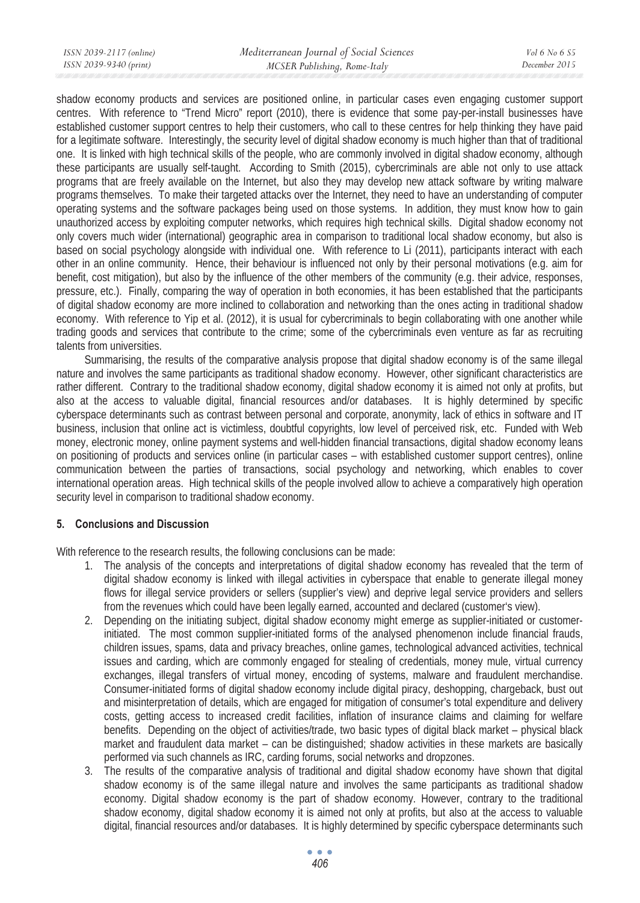shadow economy products and services are positioned online, in particular cases even engaging customer support centres. With reference to "Trend Micro" report (2010), there is evidence that some pay-per-install businesses have established customer support centres to help their customers, who call to these centres for help thinking they have paid for a legitimate software. Interestingly, the security level of digital shadow economy is much higher than that of traditional one. It is linked with high technical skills of the people, who are commonly involved in digital shadow economy, although these participants are usually self-taught. According to Smith (2015), cybercriminals are able not only to use attack programs that are freely available on the Internet, but also they may develop new attack software by writing malware programs themselves. To make their targeted attacks over the Internet, they need to have an understanding of computer operating systems and the software packages being used on those systems. In addition, they must know how to gain unauthorized access by exploiting computer networks, which requires high technical skills. Digital shadow economy not only covers much wider (international) geographic area in comparison to traditional local shadow economy, but also is based on social psychology alongside with individual one. With reference to Li (2011), participants interact with each other in an online community. Hence, their behaviour is influenced not only by their personal motivations (e.g. aim for benefit, cost mitigation), but also by the influence of the other members of the community (e.g. their advice, responses, pressure, etc.). Finally, comparing the way of operation in both economies, it has been established that the participants of digital shadow economy are more inclined to collaboration and networking than the ones acting in traditional shadow economy. With reference to Yip et al. (2012), it is usual for cybercriminals to begin collaborating with one another while trading goods and services that contribute to the crime; some of the cybercriminals even venture as far as recruiting talents from universities.

Summarising, the results of the comparative analysis propose that digital shadow economy is of the same illegal nature and involves the same participants as traditional shadow economy. However, other significant characteristics are rather different. Contrary to the traditional shadow economy, digital shadow economy it is aimed not only at profits, but also at the access to valuable digital, financial resources and/or databases. It is highly determined by specific cyberspace determinants such as contrast between personal and corporate, anonymity, lack of ethics in software and IT business, inclusion that online act is victimless, doubtful copyrights, low level of perceived risk, etc. Funded with Web money, electronic money, online payment systems and well-hidden financial transactions, digital shadow economy leans on positioning of products and services online (in particular cases – with established customer support centres), online communication between the parties of transactions, social psychology and networking, which enables to cover international operation areas. High technical skills of the people involved allow to achieve a comparatively high operation security level in comparison to traditional shadow economy.

## **5. Conclusions and Discussion**

With reference to the research results, the following conclusions can be made:

- 1. The analysis of the concepts and interpretations of digital shadow economy has revealed that the term of digital shadow economy is linked with illegal activities in cyberspace that enable to generate illegal money flows for illegal service providers or sellers (supplier's view) and deprive legal service providers and sellers from the revenues which could have been legally earned, accounted and declared (customer's view).
- 2. Depending on the initiating subject, digital shadow economy might emerge as supplier-initiated or customerinitiated. The most common supplier-initiated forms of the analysed phenomenon include financial frauds, children issues, spams, data and privacy breaches, online games, technological advanced activities, technical issues and carding, which are commonly engaged for stealing of credentials, money mule, virtual currency exchanges, illegal transfers of virtual money, encoding of systems, malware and fraudulent merchandise. Consumer-initiated forms of digital shadow economy include digital piracy, deshopping, chargeback, bust out and misinterpretation of details, which are engaged for mitigation of consumer's total expenditure and delivery costs, getting access to increased credit facilities, inflation of insurance claims and claiming for welfare benefits. Depending on the object of activities/trade, two basic types of digital black market – physical black market and fraudulent data market – can be distinguished; shadow activities in these markets are basically performed via such channels as IRC, carding forums, social networks and dropzones.
- 3. The results of the comparative analysis of traditional and digital shadow economy have shown that digital shadow economy is of the same illegal nature and involves the same participants as traditional shadow economy. Digital shadow economy is the part of shadow economy. However, contrary to the traditional shadow economy, digital shadow economy it is aimed not only at profits, but also at the access to valuable digital, financial resources and/or databases. It is highly determined by specific cyberspace determinants such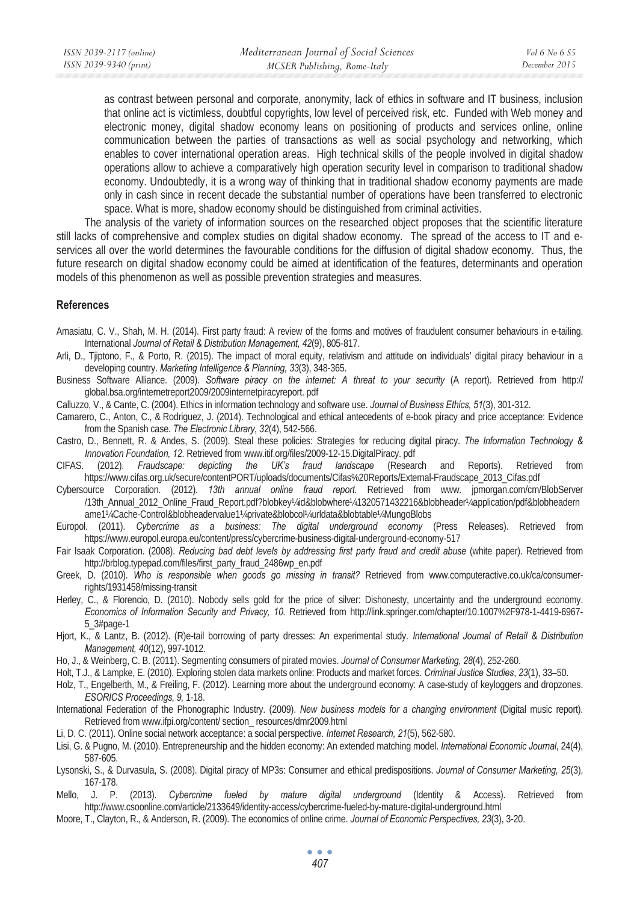as contrast between personal and corporate, anonymity, lack of ethics in software and IT business, inclusion that online act is victimless, doubtful copyrights, low level of perceived risk, etc. Funded with Web money and electronic money, digital shadow economy leans on positioning of products and services online, online communication between the parties of transactions as well as social psychology and networking, which enables to cover international operation areas. High technical skills of the people involved in digital shadow operations allow to achieve a comparatively high operation security level in comparison to traditional shadow economy. Undoubtedly, it is a wrong way of thinking that in traditional shadow economy payments are made only in cash since in recent decade the substantial number of operations have been transferred to electronic space. What is more, shadow economy should be distinguished from criminal activities.

The analysis of the variety of information sources on the researched object proposes that the scientific literature still lacks of comprehensive and complex studies on digital shadow economy. The spread of the access to IT and eservices all over the world determines the favourable conditions for the diffusion of digital shadow economy. Thus, the future research on digital shadow economy could be aimed at identification of the features, determinants and operation models of this phenomenon as well as possible prevention strategies and measures.

### **References**

Amasiatu, C. V., Shah, M. H. (2014). First party fraud: A review of the forms and motives of fraudulent consumer behaviours in e-tailing. International *Journal of Retail & Distribution Management, 42*(9), 805-817.

- Arli, D., Tjiptono, F., & Porto, R. (2015). The impact of moral equity, relativism and attitude on individuals' digital piracy behaviour in a developing country. *Marketing Intelligence & Planning, 33*(3), 348-365.
- Business Software Alliance. (2009). *Software piracy on the internet: A threat to your security* (A report). Retrieved from http:// global.bsa.org/internetreport2009/2009internetpiracyreport. pdf
- Calluzzo, V., & Cante, C. (2004). Ethics in information technology and software use. *Journal of Business Ethics, 51*(3), 301-312.
- Camarero, C., Anton, C., & Rodriguez, J. (2014). Technological and ethical antecedents of e-book piracy and price acceptance: Evidence from the Spanish case. *The Electronic Library, 32*(4), 542-566.
- Castro, D., Bennett, R. & Andes, S. (2009). Steal these policies: Strategies for reducing digital piracy. *The Information Technology & Innovation Foundation, 12*. Retrieved from www.itif.org/files/2009-12-15.DigitalPiracy. pdf
- CIFAS. (2012). *Fraudscape: depicting the UK's fraud landscape* (Research and Reports). Retrieved from https://www.cifas.org.uk/secure/contentPORT/uploads/documents/Cifas%20Reports/External-Fraudscape\_2013\_Cifas.pdf
- Cybersource Corporation. (2012). *13th annual online fraud report.* Retrieved from www. jpmorgan.com/cm/BlobServer /13th\_Annual\_2012\_Online\_Fraud\_Report.pdf?blobkey¼id&blobwhere¼1320571432216&blobheader¼application/pdf&blobheadern ame1¼Cache-Control&blobheadervalue1¼private&blobcol¼urldata&blobtable¼MungoBlobs
- Europol. (2011). *Cybercrime as a business: The digital underground economy* (Press Releases). Retrieved from https://www.europol.europa.eu/content/press/cybercrime-business-digital-underground-economy-517
- Fair Isaak Corporation. (2008). *Reducing bad debt levels by addressing first party fraud and credit abuse* (white paper). Retrieved from http://brblog.typepad.com/files/first\_party\_fraud\_2486wp\_en.pdf
- Greek, D. (2010). *Who is responsible when goods go missing in transit?* Retrieved from www.computeractive.co.uk/ca/consumerrights/1931458/missing-transit
- Herley, C., & Florencio, D. (2010). Nobody sells gold for the price of silver: Dishonesty, uncertainty and the underground economy. *Economics of Information Security and Privacy, 10.* Retrieved from http://link.springer.com/chapter/10.1007%2F978-1-4419-6967- 5\_3#page-1
- Hjort, K., & Lantz, B. (2012). (R)e-tail borrowing of party dresses: An experimental study*. International Journal of Retail & Distribution Management, 40*(12), 997-1012.
- Ho, J., & Weinberg, C. B. (2011). Segmenting consumers of pirated movies. *Journal of Consumer Marketing, 28*(4), 252-260.
- Holt, T.J., & Lampke, E. (2010). Exploring stolen data markets online: Products and market forces. *Criminal Justice Studies*, *23*(1), 33–50.
- Holz, T., Engelberth, M., & Freiling, F. (2012). Learning more about the underground economy: A case-study of keyloggers and dropzones. *ESORICS Proceedings, 9,* 1-18.
- International Federation of the Phonographic Industry. (2009). *New business models for a changing environment* (Digital music report). Retrieved from www.ifpi.org/content/ section\_ resources/dmr2009.html
- Li, D. C. (2011). Online social network acceptance: a social perspective*. Internet Research, 21*(5), 562-580.
- Lisi, G. & Pugno, M. (2010). Entrepreneurship and the hidden economy: An extended matching model. *International Economic Journal*, 24(4), 587-605.
- Lysonski, S., & Durvasula, S. (2008). Digital piracy of MP3s: Consumer and ethical predispositions. *Journal of Consumer Marketing, 25*(3), 167-178.
- Mello, J. P. (2013). *Cybercrime fueled by mature digital underground* (Identity & Access). Retrieved from http://www.csoonline.com/article/2133649/identity-access/cybercrime-fueled-by-mature-digital-underground.html
- Moore, T., Clayton, R., & Anderson, R. (2009). The economics of online crime*. Journal of Economic Perspectives, 23*(3), 3-20.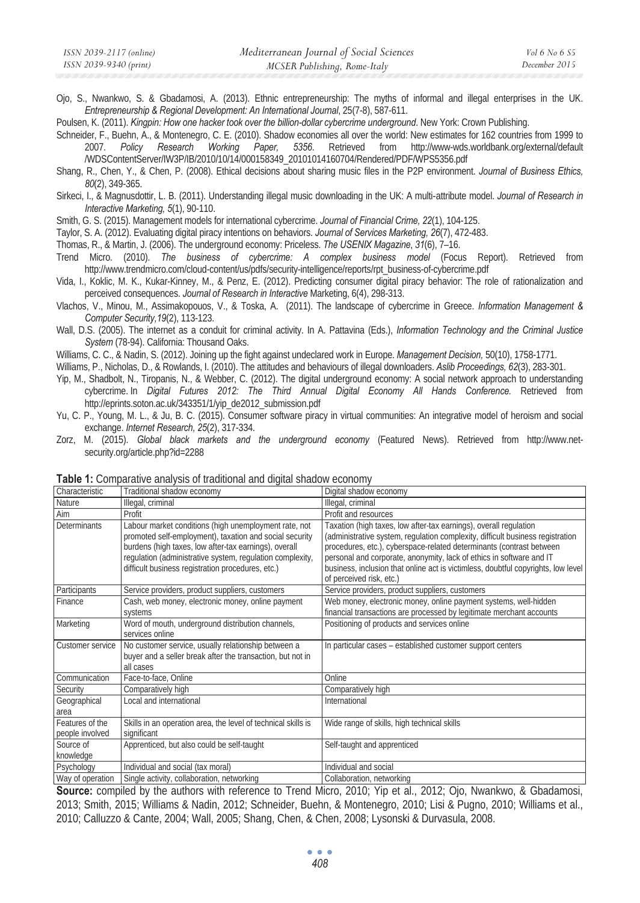Ojo, S., Nwankwo, S. & Gbadamosi, A. (2013). Ethnic entrepreneurship: The myths of informal and illegal enterprises in the UK. *Entrepreneurship & Regional Development: An International Journal*, 25(7-8), 587-611.

Poulsen, K. (2011). *Kingpin: How one hacker took over the billion-dollar cybercrime underground*. New York: Crown Publishing.

Schneider, F., Buehn, A., & Montenegro, C. E. (2010). Shadow economies all over the world: New estimates for 162 countries from 1999 to 2007. *Policy Research Working Paper, 5356*. Retrieved from http://www-wds.worldbank.org/external/default /WDSContentServer/IW3P/IB/2010/10/14/000158349\_20101014160704/Rendered/PDF/WPS5356.pdf

- Shang, R., Chen, Y., & Chen, P. (2008). Ethical decisions about sharing music files in the P2P environment. *Journal of Business Ethics, 80*(2), 349-365.
- Sirkeci, I., & Magnusdottir, L. B. (2011). Understanding illegal music downloading in the UK: A multi-attribute model. *Journal of Research in Interactive Marketing, 5*(1), 90-110.

Smith, G. S. (2015). Management models for international cybercrime. *Journal of Financial Crime, 22*(1), 104-125.

- Taylor, S. A. (2012). Evaluating digital piracy intentions on behaviors. *Journal of Services Marketing, 26*(7), 472-483.
- Thomas, R., & Martin, J. (2006). The underground economy: Priceless. *The USENIX Magazine*, *31*(6), 7–16.
- Trend Micro. (2010). *The business of cybercrime: A complex business model* (Focus Report). Retrieved from http://www.trendmicro.com/cloud-content/us/pdfs/security-intelligence/reports/rpt\_business-of-cybercrime.pdf
- Vida, I., Koklic, M. K., Kukar-Kinney, M., & Penz, E. (2012). Predicting consumer digital piracy behavior: The role of rationalization and perceived consequences. *Journal of Research in Interactive* Marketing, 6(4), 298-313.
- Vlachos, V., Minou, M., Assimakopouos, V., & Toska, A. (2011). The landscape of cybercrime in Greece. *Information Management & Computer Security,19*(2), 113-123.
- Wall, D.S. (2005). The internet as a conduit for criminal activity. In A. Pattavina (Eds.), *Information Technology and the Criminal Justice System* (78-94). California: Thousand Oaks.
- Williams, C. C., & Nadin, S. (2012). Joining up the fight against undeclared work in Europe. *Management Decision,* 50(10), 1758-1771.
- Williams, P., Nicholas, D., & Rowlands, I. (2010). The attitudes and behaviours of illegal downloaders. *Aslib Proceedings, 62*(3), 283-301.
- Yip, M., Shadbolt, N., Tiropanis, N., & Webber, C. (2012). The digital underground economy: A social network approach to understanding cybercrime. In *Digital Futures 2012: The Third Annual Digital Economy All Hands Conference.* Retrieved from http://eprints.soton.ac.uk/343351/1/yip\_de2012\_submission.pdf
- Yu, C. P., Young, M. L., & Ju, B. C. (2015). Consumer software piracy in virtual communities: An integrative model of heroism and social exchange. *Internet Research, 25*(2), 317-334.
- Zorz, M. (2015). *Global black markets and the underground economy* (Featured News). Retrieved from http://www.netsecurity.org/article.php?id=2288

|                                    | <b>I will be also the comparative and political</b> of the distribution and distribution of the company of the company                                                                                                                                                                      |                                                                                                                                                                                                                                                                                                                                                                                                                      |
|------------------------------------|---------------------------------------------------------------------------------------------------------------------------------------------------------------------------------------------------------------------------------------------------------------------------------------------|----------------------------------------------------------------------------------------------------------------------------------------------------------------------------------------------------------------------------------------------------------------------------------------------------------------------------------------------------------------------------------------------------------------------|
| Characteristic                     | Traditional shadow economy                                                                                                                                                                                                                                                                  | Digital shadow economy                                                                                                                                                                                                                                                                                                                                                                                               |
| Nature                             | Illegal, criminal                                                                                                                                                                                                                                                                           | Illegal, criminal                                                                                                                                                                                                                                                                                                                                                                                                    |
| Aim                                | Profit                                                                                                                                                                                                                                                                                      | Profit and resources                                                                                                                                                                                                                                                                                                                                                                                                 |
| Determinants                       | Labour market conditions (high unemployment rate, not<br>promoted self-employment), taxation and social security<br>burdens (high taxes, low after-tax earnings), overall<br>regulation (administrative system, regulation complexity,<br>difficult business registration procedures, etc.) | Taxation (high taxes, low after-tax earnings), overall regulation<br>(administrative system, regulation complexity, difficult business registration<br>procedures, etc.), cyberspace-related determinants (contrast between<br>personal and corporate, anonymity, lack of ethics in software and IT<br>business, inclusion that online act is victimless, doubtful copyrights, low level<br>of perceived risk, etc.) |
| Participants                       | Service providers, product suppliers, customers                                                                                                                                                                                                                                             | Service providers, product suppliers, customers                                                                                                                                                                                                                                                                                                                                                                      |
| Finance                            | Cash, web money, electronic money, online payment<br>systems                                                                                                                                                                                                                                | Web money, electronic money, online payment systems, well-hidden<br>financial transactions are processed by legitimate merchant accounts                                                                                                                                                                                                                                                                             |
| Marketing                          | Word of mouth, underground distribution channels,<br>services online                                                                                                                                                                                                                        | Positioning of products and services online                                                                                                                                                                                                                                                                                                                                                                          |
| Customer service                   | No customer service, usually relationship between a<br>buyer and a seller break after the transaction, but not in<br>all cases                                                                                                                                                              | In particular cases - established customer support centers                                                                                                                                                                                                                                                                                                                                                           |
| Communication                      | Face-to-face, Online                                                                                                                                                                                                                                                                        | Online                                                                                                                                                                                                                                                                                                                                                                                                               |
| Security                           | Comparatively high                                                                                                                                                                                                                                                                          | Comparatively high                                                                                                                                                                                                                                                                                                                                                                                                   |
| Geographical<br>area               | Local and international                                                                                                                                                                                                                                                                     | International                                                                                                                                                                                                                                                                                                                                                                                                        |
| Features of the<br>people involved | Skills in an operation area, the level of technical skills is<br>significant                                                                                                                                                                                                                | Wide range of skills, high technical skills                                                                                                                                                                                                                                                                                                                                                                          |
| Source of<br>knowledge             | Apprenticed, but also could be self-taught                                                                                                                                                                                                                                                  | Self-taught and apprenticed                                                                                                                                                                                                                                                                                                                                                                                          |
| Psychology                         | Individual and social (tax moral)                                                                                                                                                                                                                                                           | Individual and social                                                                                                                                                                                                                                                                                                                                                                                                |
| Way of operation                   | Single activity, collaboration, networking                                                                                                                                                                                                                                                  | Collaboration, networking                                                                                                                                                                                                                                                                                                                                                                                            |

**Table 1:** Comparative analysis of traditional and digital shadow economy

**Source:** compiled by the authors with reference to Trend Micro, 2010; Yip et al., 2012; Ojo, Nwankwo, & Gbadamosi, 2013; Smith, 2015; Williams & Nadin, 2012; Schneider, Buehn, & Montenegro, 2010; Lisi & Pugno, 2010; Williams et al., 2010; Calluzzo & Cante, 2004; Wall, 2005; Shang, Chen, & Chen, 2008; Lysonski & Durvasula, 2008.